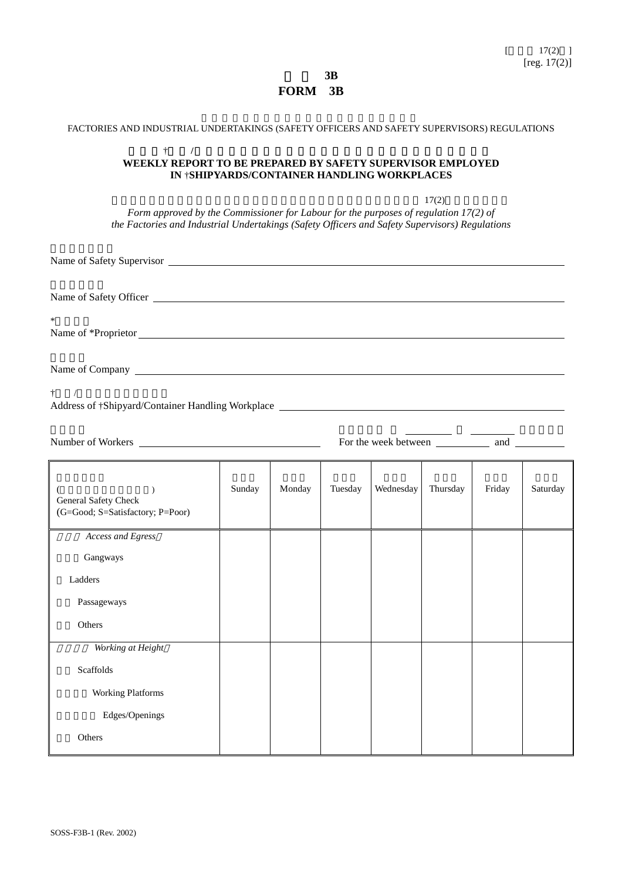表 格 **3B FORM 3B** 

| FACTORIES AND INDUSTRIAL UNDERTAKINGS (SAFETY OFFICERS AND SAFETY SUPERVISORS) REGULATIONS                                                                                                                                           |                                             |        |         |           |          |        |          |
|--------------------------------------------------------------------------------------------------------------------------------------------------------------------------------------------------------------------------------------|---------------------------------------------|--------|---------|-----------|----------|--------|----------|
| $\dagger$<br>$\prime$<br>WEEKLY REPORT TO BE PREPARED BY SAFETY SUPERVISOR EMPLOYED                                                                                                                                                  | IN †SHIPYARDS/CONTAINER HANDLING WORKPLACES |        |         |           |          |        |          |
| Form approved by the Commissioner for Labour for the purposes of regulation 17(2) of<br>the Factories and Industrial Undertakings (Safety Officers and Safety Supervisors) Regulations                                               |                                             |        |         |           | 17(2)    |        |          |
|                                                                                                                                                                                                                                      |                                             |        |         |           |          |        |          |
|                                                                                                                                                                                                                                      |                                             |        |         |           |          |        |          |
| Name of *Proprietor                                                                                                                                                                                                                  |                                             |        |         |           |          |        |          |
| Name of Company                                                                                                                                                                                                                      |                                             |        |         |           |          |        |          |
| $\dagger$ /                                                                                                                                                                                                                          |                                             |        |         |           |          |        |          |
| Number of Workers <u>example and the set of the set of the set of the set of the set of the set of the set of the set of the set of the set of the set of the set of the set of the set of the set of the set of the set of the </u> |                                             |        |         |           |          |        |          |
| $\lambda$<br>General Safety Check<br>(G=Good; S=Satisfactory; P=Poor)                                                                                                                                                                | Sunday                                      | Monday | Tuesday | Wednesday | Thursday | Friday | Saturday |
| Access and Egress                                                                                                                                                                                                                    |                                             |        |         |           |          |        |          |
| Gangways                                                                                                                                                                                                                             |                                             |        |         |           |          |        |          |
| Ladders                                                                                                                                                                                                                              |                                             |        |         |           |          |        |          |
| Passageways                                                                                                                                                                                                                          |                                             |        |         |           |          |        |          |
| Others                                                                                                                                                                                                                               |                                             |        |         |           |          |        |          |
| Working at Height                                                                                                                                                                                                                    |                                             |        |         |           |          |        |          |
| Scaffolds                                                                                                                                                                                                                            |                                             |        |         |           |          |        |          |
| <b>Working Platforms</b>                                                                                                                                                                                                             |                                             |        |         |           |          |        |          |
| Edges/Openings                                                                                                                                                                                                                       |                                             |        |         |           |          |        |          |
| Others                                                                                                                                                                                                                               |                                             |        |         |           |          |        |          |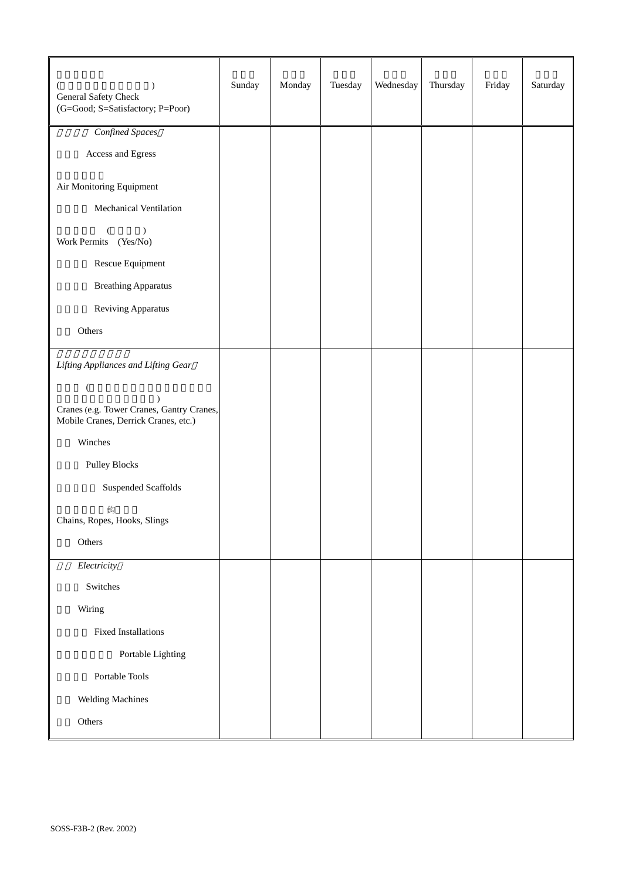| $\lambda$<br>General Safety Check<br>(G=Good; S=Satisfactory; P=Poor)             | Sunday | Monday | Tuesday | Wednesday | Thursday | Friday | Saturday |
|-----------------------------------------------------------------------------------|--------|--------|---------|-----------|----------|--------|----------|
| Confined Spaces                                                                   |        |        |         |           |          |        |          |
| Access and Egress                                                                 |        |        |         |           |          |        |          |
| Air Monitoring Equipment                                                          |        |        |         |           |          |        |          |
| Mechanical Ventilation                                                            |        |        |         |           |          |        |          |
| $\lambda$<br>Work Permits (Yes/No)                                                |        |        |         |           |          |        |          |
| Rescue Equipment                                                                  |        |        |         |           |          |        |          |
| <b>Breathing Apparatus</b>                                                        |        |        |         |           |          |        |          |
| Reviving Apparatus                                                                |        |        |         |           |          |        |          |
| Others                                                                            |        |        |         |           |          |        |          |
| Lifting Appliances and Lifting Gear                                               |        |        |         |           |          |        |          |
| $\overline{(}$                                                                    |        |        |         |           |          |        |          |
| Cranes (e.g. Tower Cranes, Gantry Cranes,<br>Mobile Cranes, Derrick Cranes, etc.) |        |        |         |           |          |        |          |
| Winches                                                                           |        |        |         |           |          |        |          |
| <b>Pulley Blocks</b>                                                              |        |        |         |           |          |        |          |
| Suspended Scaffolds                                                               |        |        |         |           |          |        |          |
| 鈎<br>Chains, Ropes, Hooks, Slings                                                 |        |        |         |           |          |        |          |
| Others                                                                            |        |        |         |           |          |        |          |
| Electricity                                                                       |        |        |         |           |          |        |          |
| Switches                                                                          |        |        |         |           |          |        |          |
| Wiring                                                                            |        |        |         |           |          |        |          |
| <b>Fixed Installations</b>                                                        |        |        |         |           |          |        |          |
| Portable Lighting                                                                 |        |        |         |           |          |        |          |
| Portable Tools                                                                    |        |        |         |           |          |        |          |
| Welding Machines                                                                  |        |        |         |           |          |        |          |
| Others                                                                            |        |        |         |           |          |        |          |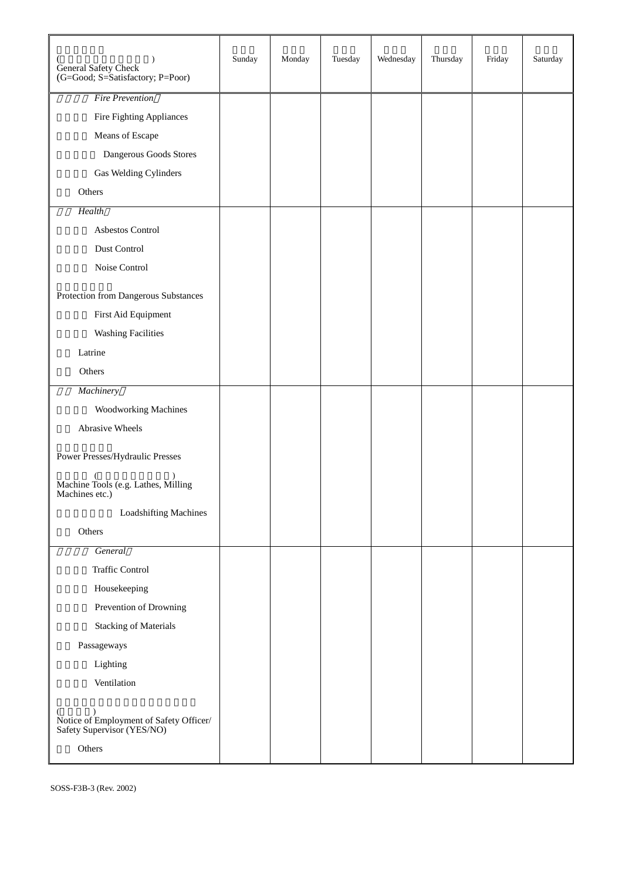| General Safety Check<br>(G=Good; S=Satisfactory; P=Poor)                               | Sunday | Monday | Tuesday | Wednesday | Thursday | Friday | Saturday |
|----------------------------------------------------------------------------------------|--------|--------|---------|-----------|----------|--------|----------|
| <b>Fire Prevention</b>                                                                 |        |        |         |           |          |        |          |
| Fire Fighting Appliances                                                               |        |        |         |           |          |        |          |
| Means of Escape                                                                        |        |        |         |           |          |        |          |
| Dangerous Goods Stores                                                                 |        |        |         |           |          |        |          |
| Gas Welding Cylinders                                                                  |        |        |         |           |          |        |          |
| Others                                                                                 |        |        |         |           |          |        |          |
| Health                                                                                 |        |        |         |           |          |        |          |
| Asbestos Control                                                                       |        |        |         |           |          |        |          |
| Dust Control                                                                           |        |        |         |           |          |        |          |
| Noise Control                                                                          |        |        |         |           |          |        |          |
| Protection from Dangerous Substances                                                   |        |        |         |           |          |        |          |
| First Aid Equipment                                                                    |        |        |         |           |          |        |          |
| <b>Washing Facilities</b>                                                              |        |        |         |           |          |        |          |
| Latrine                                                                                |        |        |         |           |          |        |          |
| Others                                                                                 |        |        |         |           |          |        |          |
| Machinery                                                                              |        |        |         |           |          |        |          |
| <b>Woodworking Machines</b>                                                            |        |        |         |           |          |        |          |
| Abrasive Wheels                                                                        |        |        |         |           |          |        |          |
|                                                                                        |        |        |         |           |          |        |          |
| Power Presses/Hydraulic Presses                                                        |        |        |         |           |          |        |          |
| Machine Tools (e.g. Lathes, Milling<br>Machines etc.)                                  |        |        |         |           |          |        |          |
| <b>Loadshifting Machines</b>                                                           |        |        |         |           |          |        |          |
| Others                                                                                 |        |        |         |           |          |        |          |
| General                                                                                |        |        |         |           |          |        |          |
| <b>Traffic Control</b>                                                                 |        |        |         |           |          |        |          |
| Housekeeping                                                                           |        |        |         |           |          |        |          |
| Prevention of Drowning                                                                 |        |        |         |           |          |        |          |
| <b>Stacking of Materials</b>                                                           |        |        |         |           |          |        |          |
| Passageways                                                                            |        |        |         |           |          |        |          |
| Lighting                                                                               |        |        |         |           |          |        |          |
| Ventilation                                                                            |        |        |         |           |          |        |          |
| (b)<br>Notice of Employment of Safety Officer/<br>Safety Supervisor (YES/NO)<br>Others |        |        |         |           |          |        |          |
|                                                                                        |        |        |         |           |          |        |          |